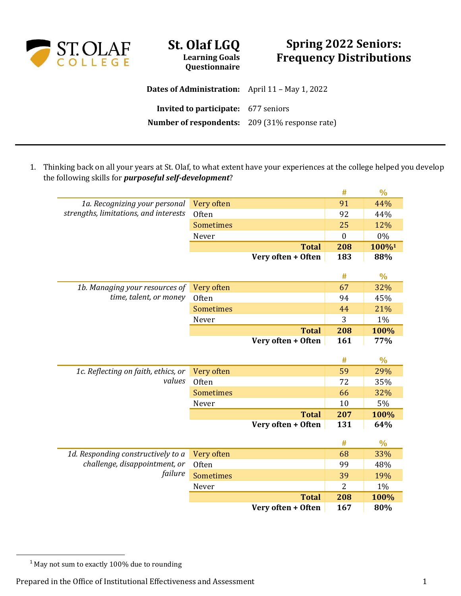

## **St. Olaf LGQ Learning Goals Questionnaire**

## **Spring 2022 Seniors: Frequency Distributions**

**Dates of Administration:** April 11 – May 1, 2022 **Invited to participate:** 677 seniors **Number of respondents:** 209 (31% response rate)

1. Thinking back on all your years at St. Olaf, to what extent have your experiences at the college helped you develop the following skills for *purposeful self-development*?

|                                       |                  |                                    | #              | $\frac{0}{0}$ |
|---------------------------------------|------------------|------------------------------------|----------------|---------------|
| 1a. Recognizing your personal         | Very often       |                                    | 91             | 44%           |
| strengths, limitations, and interests | Often            |                                    | 92             | 44%           |
|                                       | <b>Sometimes</b> |                                    | 25             | 12%           |
|                                       | Never            |                                    | $\overline{0}$ | 0%            |
|                                       |                  | <b>Total</b>                       | 208            | 100%1         |
|                                       |                  | Very often + Often                 | 183            | 88%           |
|                                       |                  |                                    |                |               |
|                                       |                  |                                    | #              | $\frac{0}{0}$ |
| 1b. Managing your resources of        | Very often       |                                    | 67             | 32%           |
| time, talent, or money                | Often            |                                    | 94             | 45%           |
|                                       | <b>Sometimes</b> |                                    | 44             | 21%           |
|                                       | Never            |                                    | 3              | 1%            |
|                                       |                  | <b>Total</b>                       | 208            | 100%          |
|                                       |                  | Very often + Often                 | 161            | 77%           |
|                                       |                  |                                    |                |               |
|                                       |                  |                                    |                |               |
|                                       |                  |                                    | #              | $\frac{0}{0}$ |
| 1c. Reflecting on faith, ethics, or   | Very often       |                                    | 59             | 29%           |
| values                                | Often            |                                    | 72             | 35%           |
|                                       | Sometimes        |                                    | 66             | 32%           |
|                                       | Never            |                                    | 10             | 5%            |
|                                       |                  | <b>Total</b>                       | 207            | 100%          |
|                                       |                  | Very often + Often                 | 131            | 64%           |
|                                       |                  |                                    |                |               |
|                                       |                  |                                    | #              | $\frac{0}{0}$ |
| 1d. Responding constructively to a    | Very often       |                                    | 68             | 33%           |
| challenge, disappointment, or         | <b>Often</b>     |                                    | 99             | 48%           |
| failure                               | <b>Sometimes</b> |                                    | 39             | 19%           |
|                                       | Never            |                                    | 2              | 1%            |
|                                       |                  | <b>Total</b><br>Very often + Often | 208<br>167     | 100%<br>80%   |

<sup>&</sup>lt;sup>1</sup> May not sum to exactly 100% due to rounding

Prepared in the Office of Institutional Effectiveness and Assessment 1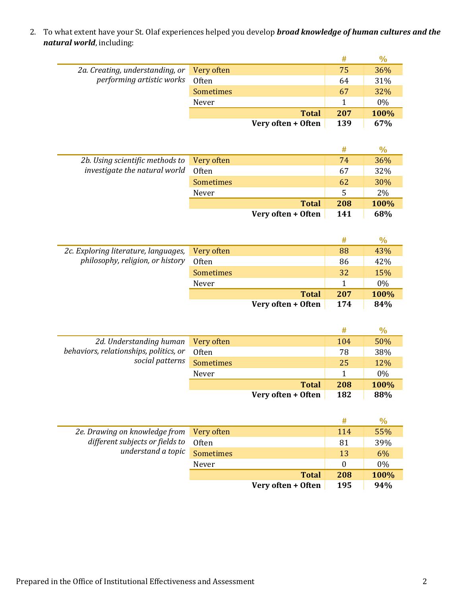2. To what extent have your St. Olaf experiences helped you develop *broad knowledge of human cultures and the natural world*, including:

|                                        |                  |                    | #   | $\frac{0}{0}$ |
|----------------------------------------|------------------|--------------------|-----|---------------|
| 2a. Creating, understanding, or        | Very often       |                    | 75  | 36%           |
| performing artistic works              | Often            |                    | 64  | 31%           |
|                                        | <b>Sometimes</b> |                    | 67  | 32%           |
|                                        | Never            |                    | 1   | 0%            |
|                                        |                  | <b>Total</b>       | 207 | 100%          |
|                                        |                  | Very often + Often | 139 | 67%           |
|                                        |                  |                    |     |               |
|                                        |                  |                    | #   | $\%$          |
| 2b. Using scientific methods to        | Very often       |                    | 74  | 36%           |
| investigate the natural world          | Often            |                    | 67  | 32%           |
|                                        | <b>Sometimes</b> |                    | 62  | 30%           |
|                                        | Never            |                    | 5   | 2%            |
|                                        |                  | <b>Total</b>       | 208 | 100%          |
|                                        |                  | Very often + Often | 141 | 68%           |
|                                        |                  |                    |     |               |
|                                        |                  |                    | #   | $\frac{0}{0}$ |
| 2c. Exploring literature, languages,   | Very often       |                    | 88  | 43%           |
| philosophy, religion, or history       | Often            |                    | 86  | 42%           |
|                                        | <b>Sometimes</b> |                    | 32  | 15%           |
|                                        | Never            |                    | 1   | 0%            |
|                                        |                  | <b>Total</b>       | 207 | 100%          |
|                                        |                  | Very often + Often | 174 | 84%           |
|                                        |                  |                    |     |               |
|                                        |                  |                    | #   | $\frac{0}{0}$ |
| 2d. Understanding human                | Very often       |                    | 104 | 50%           |
| behaviors, relationships, politics, or | Often            |                    | 78  | 38%           |
| social patterns                        | <b>Sometimes</b> |                    | 25  | 12%           |
|                                        | Never            |                    | 1   | 0%            |
|                                        |                  | <b>Total</b>       | 208 | 100%          |
|                                        |                  | Very often + Often | 182 | 88%           |
|                                        |                  |                    |     |               |
|                                        |                  |                    | #   | $\%$          |
| 2e. Drawing on knowledge from          | Very often       |                    | 114 | 55%           |
| different subjects or fields to        | Often            |                    | 81  | 39%           |
| understand a topic                     | Sometimes        |                    | 13  | 6%            |
|                                        | Never            |                    | 0   | 0%            |
|                                        |                  | <b>Total</b>       | 208 | 100%          |
|                                        |                  | Very often + Often | 195 | 94%           |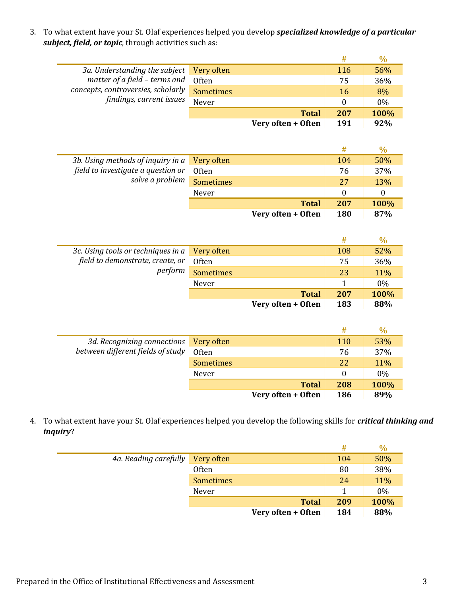3. To what extent have your St. Olaf experiences helped you develop *specialized knowledge of a particular subject, field, or topic*, through activities such as:

|                                    |                  |                    | #                | $\frac{0}{0}$    |
|------------------------------------|------------------|--------------------|------------------|------------------|
| 3a. Understanding the subject      | Very often       |                    | 116              | 56%              |
| matter of a field - terms and      | Often            |                    | 75               | 36%              |
| concepts, controversies, scholarly | <b>Sometimes</b> |                    | 16               | 8%               |
| findings, current issues           | Never            |                    | $\boldsymbol{0}$ | 0%               |
|                                    |                  | <b>Total</b>       | 207              | 100%             |
|                                    |                  | Very often + Often | 191              | 92%              |
|                                    |                  |                    |                  |                  |
|                                    |                  |                    | #                | $\frac{0}{0}$    |
| 3b. Using methods of inquiry in a  | Very often       |                    | 104              | 50%              |
| field to investigate a question or | Often            |                    | 76               | 37%              |
| solve a problem                    | <b>Sometimes</b> |                    | 27               | 13%              |
|                                    | Never            |                    | $\overline{0}$   | $\boldsymbol{0}$ |
|                                    |                  | <b>Total</b>       | 207              | 100%             |
|                                    |                  | Very often + Often | 180              | 87%              |
|                                    |                  |                    |                  |                  |
|                                    |                  |                    | #                | $\frac{0}{0}$    |
| 3c. Using tools or techniques in a | Very often       |                    | 108              | 52%              |
| field to demonstrate, create, or   | Often            |                    | 75               | 36%              |
| perform                            | <b>Sometimes</b> |                    | 23               | 11%              |
|                                    | Never            |                    | $\mathbf{1}$     | 0%               |
|                                    |                  | <b>Total</b>       | 207              | 100%             |
|                                    |                  | Very often + Often | 183              | 88%              |
|                                    |                  |                    |                  |                  |
|                                    |                  |                    | #                | $\frac{0}{0}$    |
| 3d. Recognizing connections        | Very often       |                    | 110              | 53%              |
| between different fields of study  | Often            |                    | 76               | 37%              |
|                                    | <b>Sometimes</b> |                    | 22               | 11%              |
|                                    | Never            |                    | $\boldsymbol{0}$ | 0%               |
|                                    |                  | <b>Total</b>       | 208              | 100%             |
|                                    |                  | Very often + Often | 186              | 89%              |

4. To what extent have your St. Olaf experiences helped you develop the following skills for *critical thinking and inquiry*?

|                       |                    | #   | $\%$ |
|-----------------------|--------------------|-----|------|
| 4a. Reading carefully | Very often         | 104 | 50%  |
|                       | <b>Often</b>       | 80  | 38%  |
|                       | <b>Sometimes</b>   | 24  | 11%  |
|                       | Never              |     | 0%   |
|                       | <b>Total</b>       | 209 | 100% |
|                       | Very often + Often | 184 | 88%  |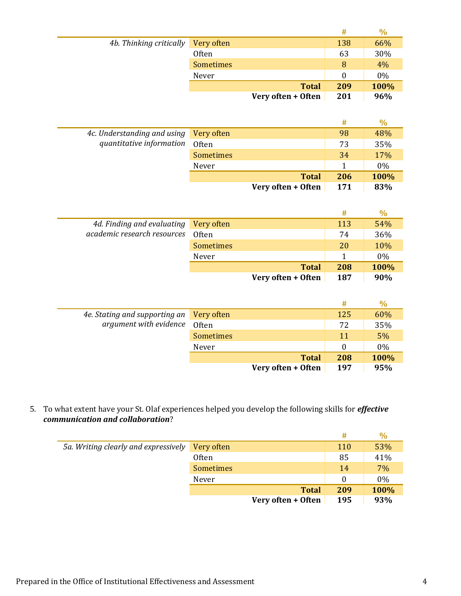|                         |                  |                    | #   | $\%$  |
|-------------------------|------------------|--------------------|-----|-------|
| 4b. Thinking critically | Very often       |                    | 138 | 66%   |
|                         | <b>Often</b>     |                    | 63  | 30%   |
|                         | <b>Sometimes</b> |                    | 8   | 4%    |
|                         | Never            |                    | 0   | $0\%$ |
|                         |                  | <b>Total</b>       | 209 | 100%  |
|                         |                  | Very often + Often | 201 | 96%   |

|                                        |                    | #   | $\%$  |
|----------------------------------------|--------------------|-----|-------|
| 4c. Understanding and using Very often |                    | 98  | 48%   |
| quantitative information               | Often              | 73  | 35%   |
|                                        | <b>Sometimes</b>   | 34  | 17%   |
|                                        | Never              |     | $0\%$ |
|                                        | <b>Total</b>       | 206 | 100%  |
|                                        | Very often + Often | 171 | 83%   |

|                                       |                    | #   | $\%$  |
|---------------------------------------|--------------------|-----|-------|
| 4d. Finding and evaluating Very often |                    | 113 | 54%   |
| academic research resources           | Often              | 74  | 36%   |
|                                       | <b>Sometimes</b>   | 20  | 10%   |
|                                       | Never              |     | $0\%$ |
|                                       | <b>Total</b>       | 208 | 100%  |
|                                       | Very often + Often | 187 | 90%   |

|                               |                    | #   | $\%$  |
|-------------------------------|--------------------|-----|-------|
| 4e. Stating and supporting an | Very often         | 125 | 60%   |
| argument with evidence        | Often              | 72  | 35%   |
|                               | <b>Sometimes</b>   | 11  | 5%    |
|                               | Never              | 0   | $0\%$ |
|                               | <b>Total</b>       | 208 | 100%  |
|                               | Very often + Often | 197 | 95%   |

5. To what extent have your St. Olaf experiences helped you develop the following skills for *effective communication and collaboration*?

|                                      |                    | #          | $\%$  |
|--------------------------------------|--------------------|------------|-------|
| 5a. Writing clearly and expressively | Very often         | <b>110</b> | 53%   |
|                                      | <b>Often</b>       | 85         | 41%   |
|                                      | <b>Sometimes</b>   | 14         | 7%    |
|                                      | Never              | $\theta$   | $0\%$ |
|                                      | <b>Total</b>       | 209        | 100%  |
|                                      | Very often + Often | 195        | 93%   |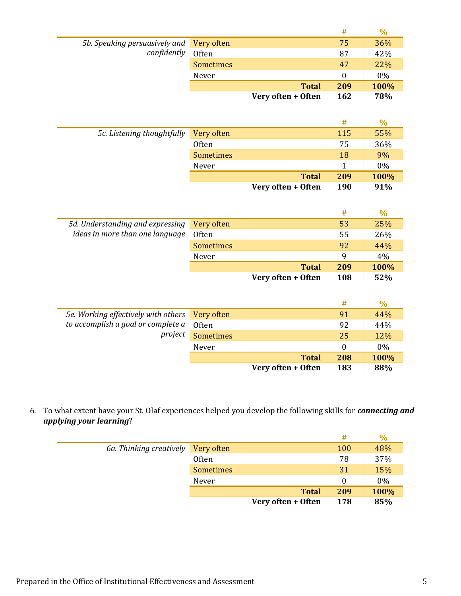|                                          |                    | #   | $\%$ |
|------------------------------------------|--------------------|-----|------|
| 5b. Speaking persuasively and Very often |                    | 75  | 36%  |
| confidently                              | Often              | 87  | 42%  |
|                                          | <b>Sometimes</b>   | 47  | 22%  |
|                                          | Never              |     | 0%   |
|                                          | <b>Total</b>       | 209 | 100% |
|                                          | Very often + Often | 162 | 78%  |

|                            |                    | #          | $\%$ |
|----------------------------|--------------------|------------|------|
| 5c. Listening thoughtfully | Very often         | 115        | 55%  |
|                            | <b>Often</b>       | 75         | 36%  |
|                            | <b>Sometimes</b>   | 18         | 9%   |
|                            | Never              |            | 0%   |
|                            | <b>Total</b>       | 209        | 100% |
|                            | Very often + Often | <b>190</b> | 91%  |

|                                  |                    | #   | $\%$  |
|----------------------------------|--------------------|-----|-------|
| 5d. Understanding and expressing | Very often         | 53  | 25%   |
| ideas in more than one language  | <b>Often</b>       | 55  | 26%   |
|                                  | <b>Sometimes</b>   | 92  | 44%   |
|                                  | Never              | q   | $4\%$ |
|                                  | <b>Total</b>       | 209 | 100%  |
|                                  | Very often + Often | 108 | 52%   |

|                                                |                    | #   |       |
|------------------------------------------------|--------------------|-----|-------|
| 5e. Working effectively with others Very often |                    | 91  | 44%   |
| to accomplish a goal or complete a             | 0ften              | 92  | 44%   |
| project                                        | Sometimes          | 25  | 12%   |
|                                                | Never              | 0   | $0\%$ |
|                                                | <b>Total</b>       | 208 | 100%  |
|                                                | Very often + Often | 183 | 88%   |

6. To what extent have your St. Olaf experiences helped you develop the following skills for *connecting and applying your learning*?

|                         |                    | #          | $\%$  |
|-------------------------|--------------------|------------|-------|
| 6a. Thinking creatively | Very often         | <b>100</b> | 48%   |
|                         | <b>Often</b>       | 78         | 37%   |
|                         | <b>Sometimes</b>   | 31         | 15%   |
|                         | Never              |            | $0\%$ |
|                         | <b>Total</b>       | 209        | 100%  |
|                         | Very often + Often | 178        | 85%   |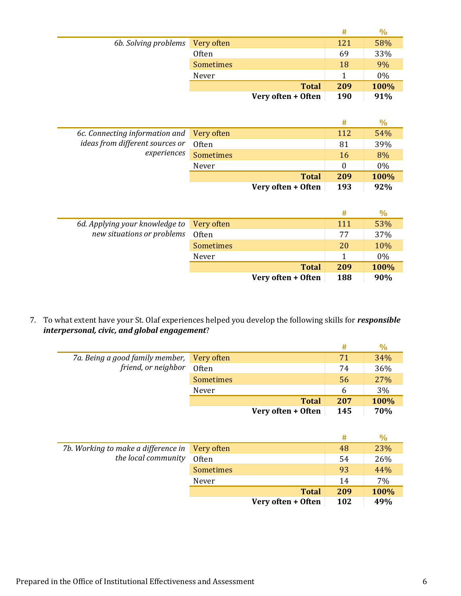|                                 |                  |                    | #   | ℅     |
|---------------------------------|------------------|--------------------|-----|-------|
| 6b. Solving problems Very often |                  |                    | 121 | 58%   |
|                                 | <b>Often</b>     |                    | 69  | 33%   |
|                                 | <b>Sometimes</b> |                    | 18  | 9%    |
|                                 | Never            |                    |     | $0\%$ |
|                                 |                  | <b>Total</b>       | 209 | 100%  |
|                                 |                  | Very often + Often | 190 | 91%   |

|                                 |                    | #   |       |
|---------------------------------|--------------------|-----|-------|
| 6c. Connecting information and  | Very often         | 112 | 54%   |
| ideas from different sources or | Often              | 81  | 39%   |
| experiences                     | <b>Sometimes</b>   | 16  | 8%    |
|                                 | Never              | 0   | $0\%$ |
|                                 | <b>Total</b>       | 209 | 100%  |
|                                 | Very often + Often | 193 | 92%   |

|                                |                    | #   | $\%$ |
|--------------------------------|--------------------|-----|------|
| 6d. Applying your knowledge to | Very often         | 111 | 53%  |
| new situations or problems     | Often              | 77  | 37%  |
|                                | <b>Sometimes</b>   | 20  | 10%  |
|                                | Never              |     | 0%   |
|                                | <b>Total</b>       | 209 | 100% |
|                                | Very often + Often | 188 | 90%  |

7. To what extent have your St. Olaf experiences helped you develop the following skills for *responsible interpersonal, civic, and global engagement*?

|                                            |                    | #   |      |
|--------------------------------------------|--------------------|-----|------|
| 7a. Being a good family member, Very often |                    | 71  | 34%  |
| friend, or neighbor                        | Often              | 74  | 36%  |
|                                            | <b>Sometimes</b>   | 56  | 27%  |
|                                            | Never              | 6   | 3%   |
|                                            | <b>Total</b>       | 207 | 100% |
|                                            | Very often + Often | 145 | 70%  |

|                                                |                    | #   |      |
|------------------------------------------------|--------------------|-----|------|
| 7b. Working to make a difference in Very often |                    | 48  | 23%  |
| the local community                            | Often              | 54  | 26%  |
|                                                | <b>Sometimes</b>   | 93  | 44%  |
|                                                | Never              | 14  | 7%   |
|                                                | <b>Total</b>       | 209 | 100% |
|                                                | Very often + Often | 102 | 49%  |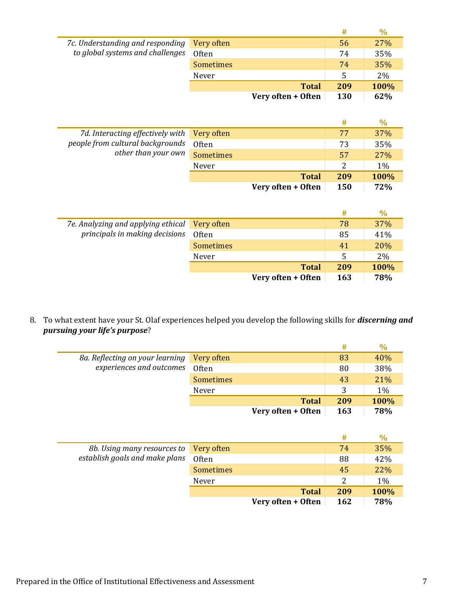|                                  |                    | #   | $\%$ |
|----------------------------------|--------------------|-----|------|
| 7c. Understanding and responding | Very often         | 56  | 27%  |
| to global systems and challenges | Often              | 74  | 35%  |
|                                  | <b>Sometimes</b>   | 74  | 35%  |
|                                  | Never              | 5   | 2%   |
|                                  | <b>Total</b>       | 209 | 100% |
|                                  | Very often + Often | 130 | 62%  |

|                                                         |                    | #   | ℅     |
|---------------------------------------------------------|--------------------|-----|-------|
| 7d. Interacting effectively with                        | Very often         | 77  | 37%   |
| people from cultural backgrounds<br>other than your own | Often              | 73  | 35%   |
|                                                         | <b>Sometimes</b>   | 57  | 27%   |
|                                                         | Never              |     | $1\%$ |
|                                                         | <b>Total</b>       | 209 | 100%  |
|                                                         | Very often + Often | 150 | 72%   |

|                                    |                    |              | #          | $\%$ |
|------------------------------------|--------------------|--------------|------------|------|
| 7e. Analyzing and applying ethical | Very often         |              | 78         | 37%  |
| principals in making decisions     | Often              |              | 85         | 41%  |
|                                    | <b>Sometimes</b>   |              | 41         | 20%  |
|                                    | Never              |              | 5          | 2%   |
|                                    |                    | <b>Total</b> | 209        | 100% |
|                                    | Very often + Often |              | <b>163</b> | 78%  |

## 8. To what extent have your St. Olaf experiences helped you develop the following skills for *discerning and pursuing your life's purpose*?

| 8a. Reflecting on your learning | Very often         | 83         | 40%  |
|---------------------------------|--------------------|------------|------|
| experiences and outcomes        | Often              | 80         | 38%  |
|                                 | <b>Sometimes</b>   | 43         | 21%  |
|                                 | Never              | 3          | 1%   |
|                                 | <b>Total</b>       | 209        | 100% |
|                                 | Very often + Often | <b>163</b> | 78%  |

|                                        |                    | #   |      |
|----------------------------------------|--------------------|-----|------|
| 8b. Using many resources to Very often |                    | 74  | 35%  |
| establish goals and make plans         | Often              | 88  | 42%  |
|                                        | <b>Sometimes</b>   | 45  | 22%  |
|                                        | Never              | 2   | 1%   |
|                                        | <b>Total</b>       | 209 | 100% |
|                                        | Very often + Often | 162 | 78%  |